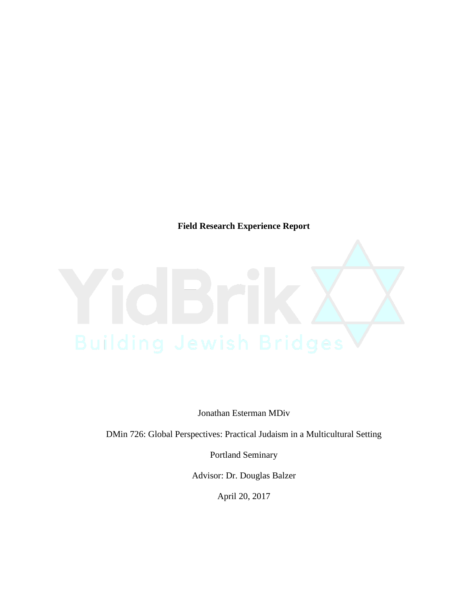**Field Research Experience Report**

Jonathan Esterman MDiv

DMin 726: Global Perspectives: Practical Judaism in a Multicultural Setting

Portland Seminary

Advisor: Dr. Douglas Balzer

April 20, 2017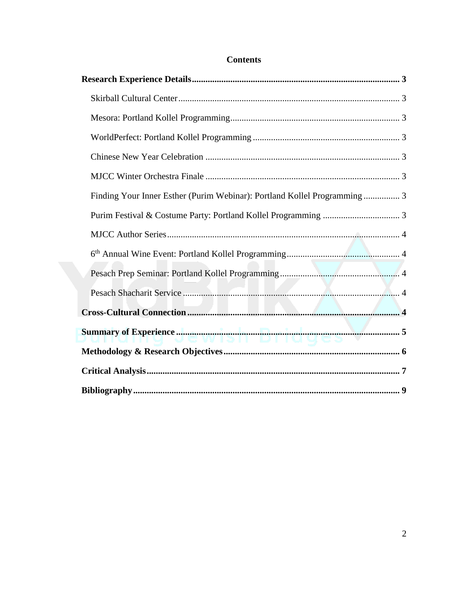| Finding Your Inner Esther (Purim Webinar): Portland Kollel Programming  3 |
|---------------------------------------------------------------------------|
|                                                                           |
|                                                                           |
|                                                                           |
|                                                                           |
|                                                                           |
|                                                                           |
|                                                                           |
|                                                                           |
|                                                                           |
|                                                                           |

# **Contents**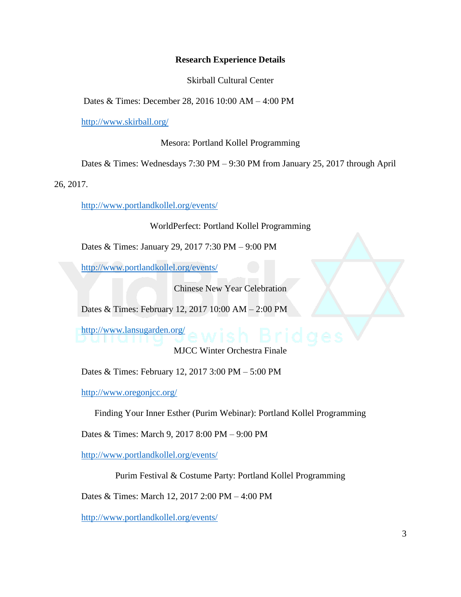## **Research Experience Details**

Skirball Cultural Center

Dates & Times: December 28, 2016 10:00 AM – 4:00 PM

<http://www.skirball.org/>

Mesora: Portland Kollel Programming

Dates & Times: Wednesdays 7:30 PM – 9:30 PM from January 25, 2017 through April

26, 2017.

<http://www.portlandkollel.org/events/>

WorldPerfect: Portland Kollel Programming

Dates & Times: January 29, 2017 7:30 PM – 9:00 PM

<http://www.portlandkollel.org/events/>

Chinese New Year Celebration

Dates & Times: February 12, 2017 10:00 AM – 2:00 PM

<http://www.lansugarden.org/>

MJCC Winter Orchestra Finale

Dates & Times: February 12, 2017 3:00 PM – 5:00 PM

<http://www.oregonjcc.org/>

Finding Your Inner Esther (Purim Webinar): Portland Kollel Programming

Dates & Times: March 9, 2017 8:00 PM – 9:00 PM

<http://www.portlandkollel.org/events/>

Purim Festival & Costume Party: Portland Kollel Programming

Dates & Times: March 12, 2017 2:00 PM – 4:00 PM

<http://www.portlandkollel.org/events/>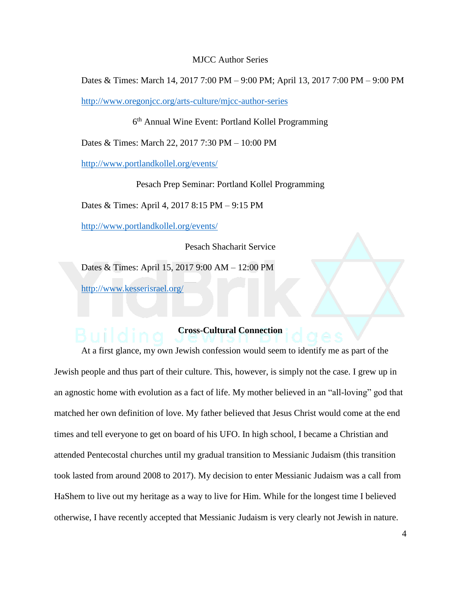### MJCC Author Series

Dates & Times: March 14, 2017 7:00 PM – 9:00 PM; April 13, 2017 7:00 PM – 9:00 PM

<http://www.oregonjcc.org/arts-culture/mjcc-author-series>

6<sup>th</sup> Annual Wine Event: Portland Kollel Programming

Dates & Times: March 22, 2017 7:30 PM – 10:00 PM

<http://www.portlandkollel.org/events/>

Pesach Prep Seminar: Portland Kollel Programming

Dates & Times: April 4, 2017 8:15 PM – 9:15 PM

<http://www.portlandkollel.org/events/>

Pesach Shacharit Service

Dates & Times: April 15, 2017 9:00 AM – 12:00 PM

<http://www.kesserisrael.org/>

# **Cross-Cultural Connection**

At a first glance, my own Jewish confession would seem to identify me as part of the Jewish people and thus part of their culture. This, however, is simply not the case. I grew up in an agnostic home with evolution as a fact of life. My mother believed in an "all-loving" god that matched her own definition of love. My father believed that Jesus Christ would come at the end times and tell everyone to get on board of his UFO. In high school, I became a Christian and attended Pentecostal churches until my gradual transition to Messianic Judaism (this transition took lasted from around 2008 to 2017). My decision to enter Messianic Judaism was a call from HaShem to live out my heritage as a way to live for Him. While for the longest time I believed otherwise, I have recently accepted that Messianic Judaism is very clearly not Jewish in nature.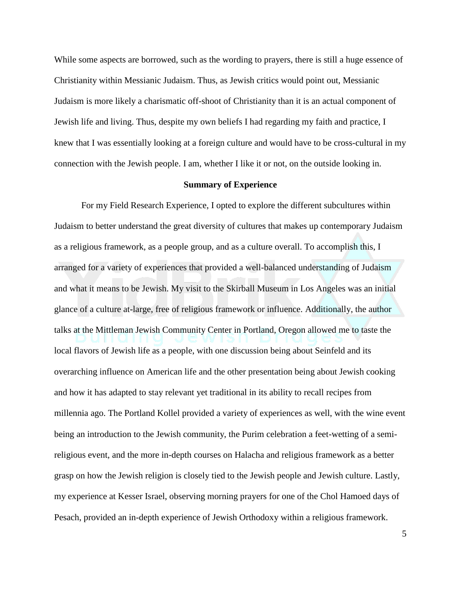While some aspects are borrowed, such as the wording to prayers, there is still a huge essence of Christianity within Messianic Judaism. Thus, as Jewish critics would point out, Messianic Judaism is more likely a charismatic off-shoot of Christianity than it is an actual component of Jewish life and living. Thus, despite my own beliefs I had regarding my faith and practice, I knew that I was essentially looking at a foreign culture and would have to be cross-cultural in my connection with the Jewish people. I am, whether I like it or not, on the outside looking in.

### **Summary of Experience**

For my Field Research Experience, I opted to explore the different subcultures within Judaism to better understand the great diversity of cultures that makes up contemporary Judaism as a religious framework, as a people group, and as a culture overall. To accomplish this, I arranged for a variety of experiences that provided a well-balanced understanding of Judaism and what it means to be Jewish. My visit to the Skirball Museum in Los Angeles was an initial glance of a culture at-large, free of religious framework or influence. Additionally, the author talks at the Mittleman Jewish Community Center in Portland, Oregon allowed me to taste the local flavors of Jewish life as a people, with one discussion being about Seinfeld and its overarching influence on American life and the other presentation being about Jewish cooking and how it has adapted to stay relevant yet traditional in its ability to recall recipes from millennia ago. The Portland Kollel provided a variety of experiences as well, with the wine event being an introduction to the Jewish community, the Purim celebration a feet-wetting of a semireligious event, and the more in-depth courses on Halacha and religious framework as a better grasp on how the Jewish religion is closely tied to the Jewish people and Jewish culture. Lastly, my experience at Kesser Israel, observing morning prayers for one of the Chol Hamoed days of Pesach, provided an in-depth experience of Jewish Orthodoxy within a religious framework.

5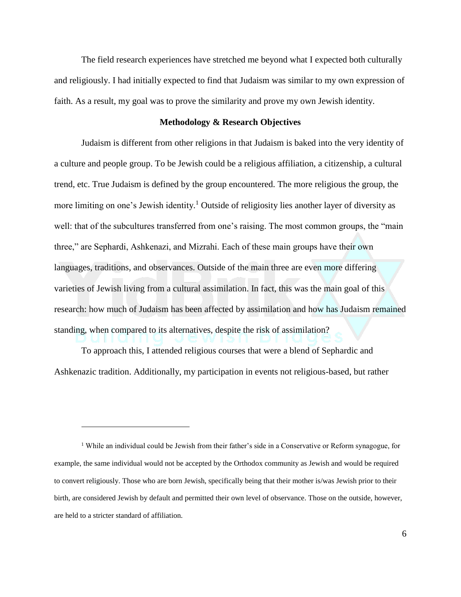The field research experiences have stretched me beyond what I expected both culturally and religiously. I had initially expected to find that Judaism was similar to my own expression of faith. As a result, my goal was to prove the similarity and prove my own Jewish identity.

### **Methodology & Research Objectives**

Judaism is different from other religions in that Judaism is baked into the very identity of a culture and people group. To be Jewish could be a religious affiliation, a citizenship, a cultural trend, etc. True Judaism is defined by the group encountered. The more religious the group, the more limiting on one's Jewish identity.<sup>1</sup> Outside of religiosity lies another layer of diversity as well: that of the subcultures transferred from one's raising. The most common groups, the "main three," are Sephardi, Ashkenazi, and Mizrahi. Each of these main groups have their own languages, traditions, and observances. Outside of the main three are even more differing varieties of Jewish living from a cultural assimilation. In fact, this was the main goal of this research: how much of Judaism has been affected by assimilation and how has Judaism remained standing, when compared to its alternatives, despite the risk of assimilation?

To approach this, I attended religious courses that were a blend of Sephardic and Ashkenazic tradition. Additionally, my participation in events not religious-based, but rather

 $\overline{a}$ 

<sup>&</sup>lt;sup>1</sup> While an individual could be Jewish from their father's side in a Conservative or Reform synagogue, for example, the same individual would not be accepted by the Orthodox community as Jewish and would be required to convert religiously. Those who are born Jewish, specifically being that their mother is/was Jewish prior to their birth, are considered Jewish by default and permitted their own level of observance. Those on the outside, however, are held to a stricter standard of affiliation.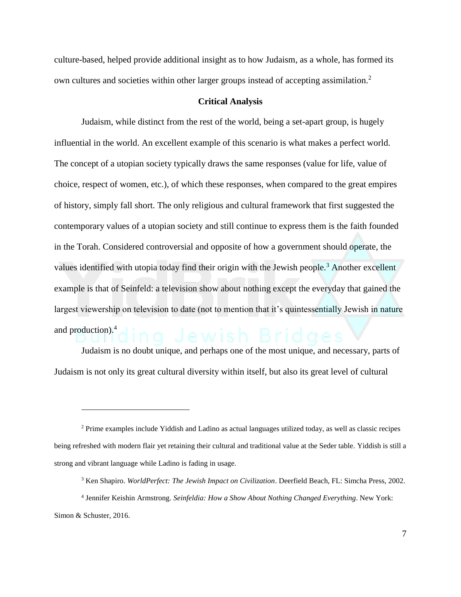culture-based, helped provide additional insight as to how Judaism, as a whole, has formed its own cultures and societies within other larger groups instead of accepting assimilation.<sup>2</sup>

### **Critical Analysis**

Judaism, while distinct from the rest of the world, being a set-apart group, is hugely influential in the world. An excellent example of this scenario is what makes a perfect world. The concept of a utopian society typically draws the same responses (value for life, value of choice, respect of women, etc.), of which these responses, when compared to the great empires of history, simply fall short. The only religious and cultural framework that first suggested the contemporary values of a utopian society and still continue to express them is the faith founded in the Torah. Considered controversial and opposite of how a government should operate, the values identified with utopia today find their origin with the Jewish people.<sup>3</sup> Another excellent example is that of Seinfeld: a television show about nothing except the everyday that gained the largest viewership on television to date (not to mention that it's quintessentially Jewish in nature and production).<sup>4</sup>

Judaism is no doubt unique, and perhaps one of the most unique, and necessary, parts of Judaism is not only its great cultural diversity within itself, but also its great level of cultural

 $\overline{a}$ 

<sup>2</sup> Prime examples include Yiddish and Ladino as actual languages utilized today, as well as classic recipes being refreshed with modern flair yet retaining their cultural and traditional value at the Seder table. Yiddish is still a strong and vibrant language while Ladino is fading in usage.

<sup>3</sup> Ken Shapiro. *WorldPerfect: The Jewish Impact on Civilization*. Deerfield Beach, FL: Simcha Press, 2002.

<sup>4</sup> Jennifer Keishin Armstrong. *Seinfeldia: How a Show About Nothing Changed Everything*. New York: Simon & Schuster, 2016.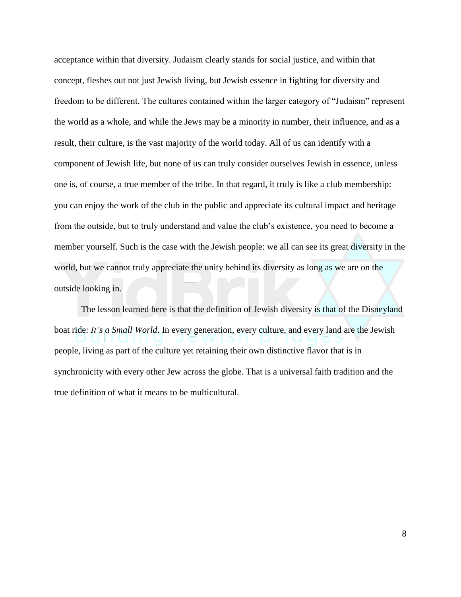acceptance within that diversity. Judaism clearly stands for social justice, and within that concept, fleshes out not just Jewish living, but Jewish essence in fighting for diversity and freedom to be different. The cultures contained within the larger category of "Judaism" represent the world as a whole, and while the Jews may be a minority in number, their influence, and as a result, their culture, is the vast majority of the world today. All of us can identify with a component of Jewish life, but none of us can truly consider ourselves Jewish in essence, unless one is, of course, a true member of the tribe. In that regard, it truly is like a club membership: you can enjoy the work of the club in the public and appreciate its cultural impact and heritage from the outside, but to truly understand and value the club's existence, you need to become a member yourself. Such is the case with the Jewish people: we all can see its great diversity in the world, but we cannot truly appreciate the unity behind its diversity as long as we are on the outside looking in.

The lesson learned here is that the definition of Jewish diversity is that of the Disneyland boat ride: *It's a Small World*. In every generation, every culture, and every land are the Jewish people, living as part of the culture yet retaining their own distinctive flavor that is in synchronicity with every other Jew across the globe. That is a universal faith tradition and the true definition of what it means to be multicultural.